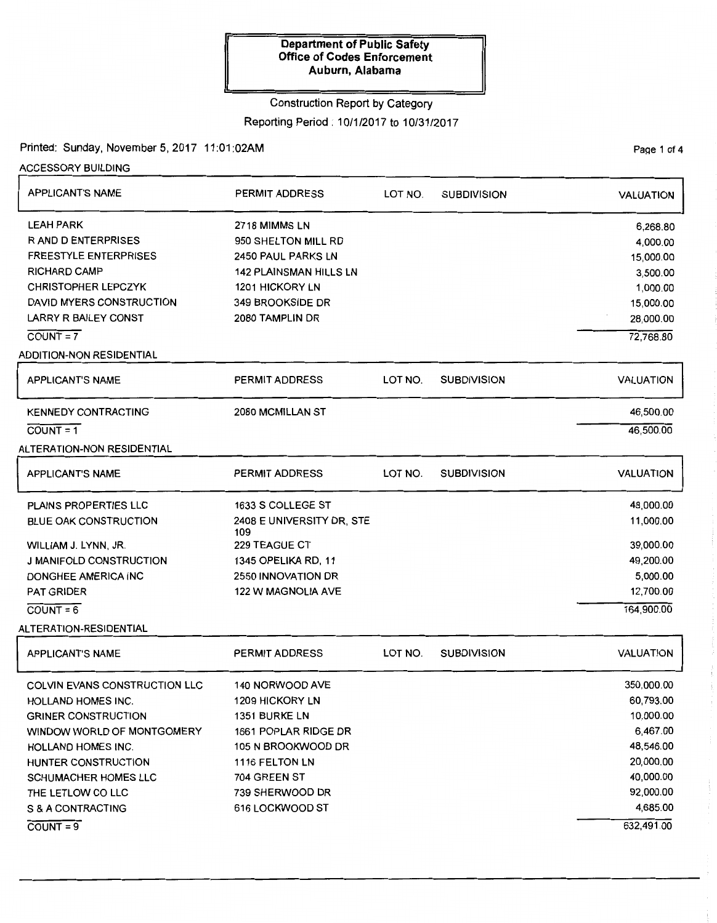### Construction Report by Category

Reporting Period: 10/1/2017 to 10/31/2017

## Printed: Sunday, November 5, 2017 11 :01 :02AM

ACCESSORY BUILDING

| <b>APPLICANT'S NAME</b>         | <b>PERMIT ADDRESS</b>            | LOT NO. | <b>SUBDIVISION</b> | <b>VALUATION</b> |
|---------------------------------|----------------------------------|---------|--------------------|------------------|
| <b>LEAH PARK</b>                | 2718 MIMMS LN                    |         |                    | 6,268.80         |
| <b>RAND DENTERPRISES</b>        | 950 SHELTON MILL RD              |         |                    | 4,000.00         |
| <b>FREESTYLE ENTERPRISES</b>    | <b>2450 PAUL PARKS LN</b>        |         |                    | 15,000.00        |
| <b>RICHARD CAMP</b>             | <b>142 PLAINSMAN HILLS LN</b>    |         |                    | 3,500.00         |
| <b>CHRISTOPHER LEPCZYK</b>      | 1201 HICKORY LN                  |         |                    | 1,000.00         |
| DAVID MYERS CONSTRUCTION        | 349 BROOKSIDE DR                 |         |                    | 15,000.00        |
| LARRY R BAILEY CONST            | 2080 TAMPLIN DR                  |         |                    | 28,000.00        |
| $COUNT = 7$                     |                                  |         |                    | 72,768.80        |
| <b>ADDITION-NON RESIDENTIAL</b> |                                  |         |                    |                  |
| <b>APPLICANT'S NAME</b>         | <b>PERMIT ADDRESS</b>            | LOT NO. | <b>SUBDIVISION</b> | <b>VALUATION</b> |
| <b>KENNEDY CONTRACTING</b>      | 2080 MCMILLAN ST                 |         |                    | 46,500.00        |
| $COVNT = 1$                     |                                  |         |                    | 46,500.00        |
| ALTERATION-NON RESIDENTIAL      |                                  |         |                    |                  |
| <b>APPLICANT'S NAME</b>         | <b>PERMIT ADDRESS</b>            | LOT NO. | <b>SUBDIVISION</b> | <b>VALUATION</b> |
| PLAINS PROPERTIES LLC           | 1633 S COLLEGE ST                |         |                    | 48,000.00        |
| <b>BLUE OAK CONSTRUCTION</b>    | 2408 E UNIVERSITY DR, STE<br>109 |         |                    | 11,000.00        |
| WILLIAM J. LYNN, JR.            | <b>229 TEAGUE CT</b>             |         |                    | 39,000.00        |
| <b>J MANIFOLD CONSTRUCTION</b>  | 1345 OPELIKA RD, 11              |         |                    | 49,200.00        |
| DONGHEE AMERICA INC             | 2550 INNOVATION DR               |         |                    | 5,000.00         |
| <b>PAT GRIDER</b>               | <b>122 W MAGNOLIA AVE</b>        |         |                    | 12,700.00        |
| $COVNT = 6$                     |                                  |         |                    | 164,900.00       |
| ALTERATION-RESIDENTIAL          |                                  |         |                    |                  |
| <b>APPLICANT'S NAME</b>         | PERMIT ADDRESS                   | LOT NO. | <b>SUBDIVISION</b> | <b>VALUATION</b> |
| COLVIN EVANS CONSTRUCTION LLC   | 140 NORWOOD AVE                  |         |                    | 350,000.00       |
| <b>HOLLAND HOMES INC.</b>       | <b>1209 HICKORY LN</b>           |         |                    | 60,793.00        |
| <b>GRINER CONSTRUCTION</b>      | 1351 BURKE LN                    |         |                    | 10,000.00        |
| WINDOW WORLD OF MONTGOMERY      | 1661 POPLAR RIDGE DR             |         |                    | 6,467.00         |
| <b>HOLLAND HOMES INC.</b>       | 105 N BROOKWOOD DR               |         |                    | 48,546.00        |
| HUNTER CONSTRUCTION             | 1116 FELTON LN                   |         |                    | 20,000.00        |
| SCHUMACHER HOMES LLC            | 704 GREEN ST                     |         |                    | 40,000.00        |
| THE LETLOW CO LLC               | 739 SHERWOOD DR                  |         |                    | 92,000.00        |
| S & A CONTRACTING               | 616 LOCKWOOD ST                  |         |                    | 4,685.00         |
| $COVNT = 9$                     |                                  |         |                    | 632,491.00       |

Page 1 of 4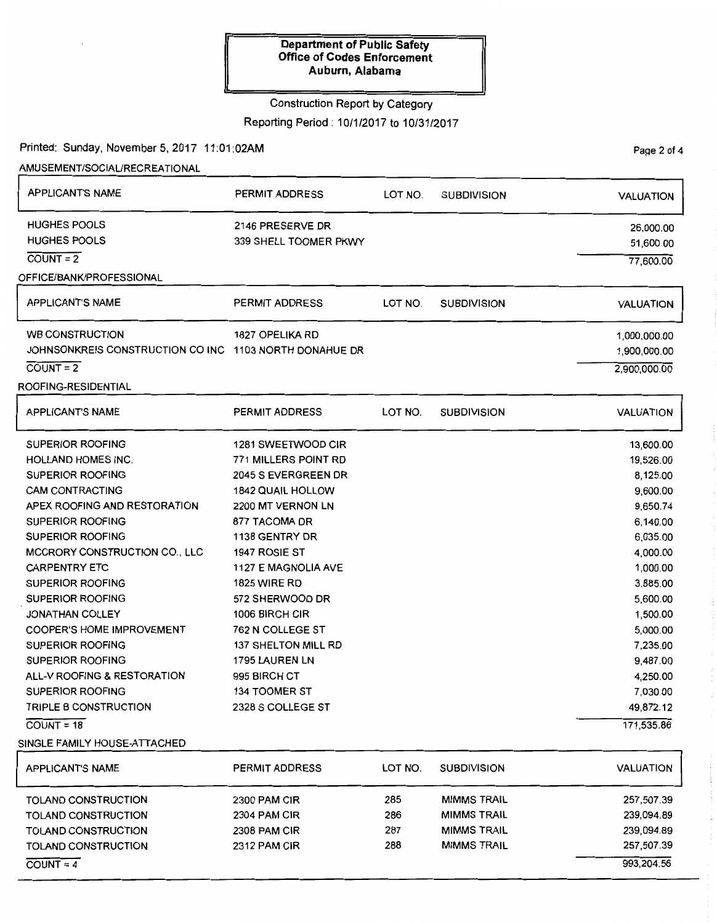### Construction Report by Category

Reporting Period: 10/1/2017 to 10/31/2017

Page 2 of 4

Printed: Sunday, November 5, 2017 11:01:02AM

AMUSEMENT/SOCIAURECREATIONAL

| <b>APPLICANT'S NAME</b>                                | PERMIT ADDRESS             | LOT NO. | <b>SUBDIVISION</b> | <b>VALUATION</b> |
|--------------------------------------------------------|----------------------------|---------|--------------------|------------------|
| <b>HUGHES POOLS</b>                                    | 2146 PRESERVE DR           |         |                    | 26,000.00        |
| <b>HUGHES POOLS</b>                                    | 339 SHELL TOOMER PKWY      |         |                    | 51,600.00        |
| $COUNT = 2$                                            |                            |         |                    | 77,600.00        |
| OFFICE/BANK/PROFESSIONAL                               |                            |         |                    |                  |
| <b>APPLICANT'S NAME</b>                                | PERMIT ADDRESS             | LOT NO. | <b>SUBDIVISION</b> | <b>VALUATION</b> |
| <b>WB CONSTRUCTION</b>                                 | <b>1827 OPELIKA RD</b>     |         |                    | 1,000,000.00     |
| JOHNSONKREIS CONSTRUCTION CO INC 1103 NORTH DONAHUE DR |                            |         |                    | 1,900,000.00     |
| $COUNT = 2$                                            |                            |         |                    | 2,900,000.00     |
| ROOFING-RESIDENTIAL                                    |                            |         |                    |                  |
| <b>APPLICANT'S NAME</b>                                | PERMIT ADDRESS             | LOT NO. | <b>SUBDIVISION</b> | <b>VALUATION</b> |
| <b>SUPERIOR ROOFING</b>                                | 1281 SWEETWOOD CIR         |         |                    | 13,600.00        |
| <b>HOLLAND HOMES INC.</b>                              | 771 MILLERS POINT RD       |         |                    | 19,526.00        |
| <b>SUPERIOR ROOFING</b>                                | 2045 S EVERGREEN DR        |         |                    | 8,125.00         |
| <b>CAM CONTRACTING</b>                                 | <b>1842 QUAIL HOLLOW</b>   |         |                    | 9,600.00         |
| APEX ROOFING AND RESTORATION                           | 2200 MT VERNON LN          |         |                    | 9,650.74         |
| <b>SUPERIOR ROOFING</b>                                | 877 TACOMA DR              |         |                    | 6,140.00         |
| <b>SUPERIOR ROOFING</b>                                | 1138 GENTRY DR             |         |                    | 6,035.00         |
| <b>MCCRORY CONSTRUCTION CO., LLC</b>                   | 1947 ROSIE ST              |         |                    | 4,000.00         |
| <b>CARPENTRY ETC</b>                                   | 1127 E MAGNOLIA AVE        |         |                    | 1,000.00         |
| <b>SUPERIOR ROOFING</b>                                | <b>1825 WIRE RD</b>        |         |                    | 3,885.00         |
| <b>SUPERIOR ROOFING</b>                                | 572 SHERWOOD DR            |         |                    | 5,600.00         |
| JONATHAN COLLEY                                        | 1006 BIRCH CIR             |         |                    | 1,500.00         |
| <b>COOPER'S HOME IMPROVEMENT</b>                       | 762 N COLLEGE ST           |         |                    | 5,000.00         |
| SUPERIOR ROOFING                                       | <b>137 SHELTON MILL RD</b> |         |                    | 7,235.00         |
| <b>SUPERIOR ROOFING</b>                                | 1795 LAUREN LN             |         |                    | 9,487.00         |
| ALL-V ROOFING & RESTORATION                            | 995 BIRCH CT               |         |                    | 4,250.00         |
| <b>SUPERIOR ROOFING</b>                                | <b>134 TOOMER ST</b>       |         |                    | 7,030.00         |
| TRIPLE B CONSTRUCTION                                  | 2328 S COLLEGE ST          |         |                    | 49,872.12        |
| $COUNT = 18$                                           |                            |         |                    | 171,535.86       |
| SINGLE FAMILY HOUSE-ATTACHED                           |                            |         |                    |                  |
| <b>APPLICANT'S NAME</b>                                | <b>PERMIT ADDRESS</b>      | LOT NO. | <b>SUBDIVISION</b> | <b>VALUATION</b> |
| TOLAND CONSTRUCTION                                    | 2300 PAM CIR               | 285     | <b>MIMMS TRAIL</b> | 257,507.39       |
| <b>TOLAND CONSTRUCTION</b>                             | <b>2304 PAM CIR</b>        | 286     | <b>MIMMS TRAIL</b> | 239,094.89       |
| TOLAND CONSTRUCTION                                    | 2308 PAM CIR               | 287     | <b>MIMMS TRAIL</b> | 239,094.89       |
| TOLAND CONSTRUCTION                                    | 2312 PAM CIR               | 288     | <b>MIMMS TRAIL</b> | 257,507.39       |
| $\overline{COUNT} = 4$                                 |                            |         |                    | 993,204.56       |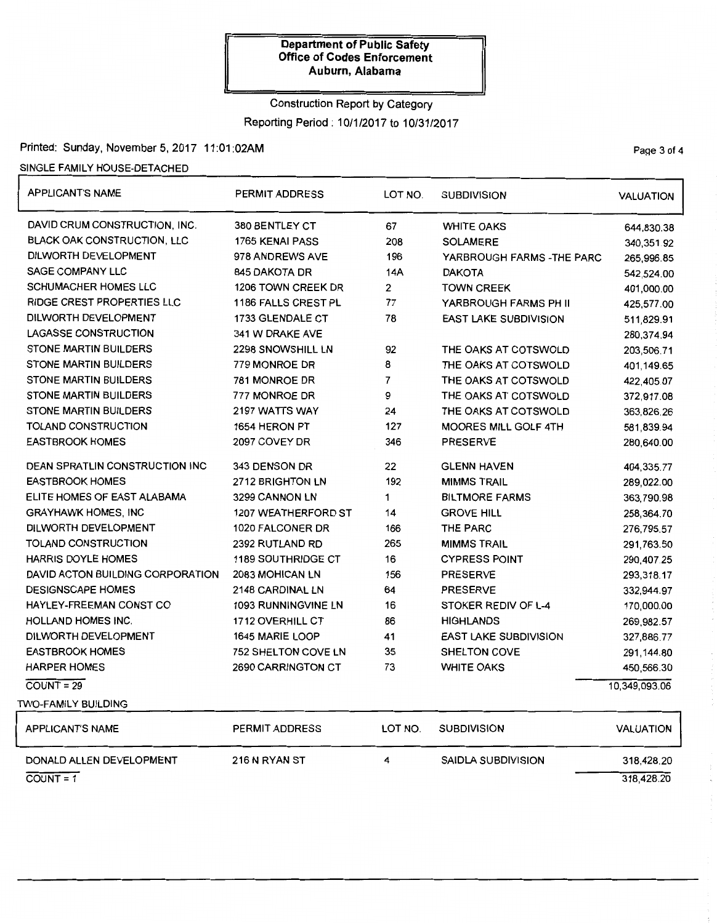# Construction Report by Category

Reporting Period: 10/1/2017 to 10/31/2017

## Printed: Sunday, November 5, 2017 11:01:02AM

SINGLE FAMILY HOUSE-DETACHED

| <b>APPLICANT'S NAME</b>               | PERMIT ADDRESS             | LOT NO.        | <b>SUBDIVISION</b>           | <b>VALUATION</b> |
|---------------------------------------|----------------------------|----------------|------------------------------|------------------|
| DAVID CRUM CONSTRUCTION, INC.         | 380 BENTLEY CT             | 67             | <b>WHITE OAKS</b>            | 644,830.38       |
| <b>BLACK OAK CONSTRUCTION, LLC</b>    | 1765 KENAI PASS            | 208            | <b>SOLAMERE</b>              | 340,351.92       |
| DILWORTH DEVELOPMENT                  | 978 ANDREWS AVE            | 196            | YARBROUGH FARMS - THE PARC   | 265,996.85       |
| SAGE COMPANY LLC                      | 845 DAKOTA DR              | 14A            | <b>DAKOTA</b>                | 542,524.00       |
| <b>SCHUMACHER HOMES LLC</b>           | 1206 TOWN CREEK DR         | 2              | <b>TOWN CREEK</b>            | 401,000.00       |
| <b>RIDGE CREST PROPERTIES LLC</b>     | 1186 FALLS CREST PL        | 77             | YARBROUGH FARMS PH II        | 425,577.00       |
| DILWORTH DEVELOPMENT                  | 1733 GLENDALE CT           | 78             | <b>EAST LAKE SUBDIVISION</b> | 511,829.91       |
| <b>LAGASSE CONSTRUCTION</b>           | 341 W DRAKE AVE            |                |                              | 280,374.94       |
| <b>STONE MARTIN BUILDERS</b>          | 2298 SNOWSHILL LN          | 92             | THE OAKS AT COTSWOLD         | 203,506.71       |
| <b>STONE MARTIN BUILDERS</b>          | 779 MONROE DR              | 8              | THE OAKS AT COTSWOLD         | 401,149.65       |
| STONE MARTIN BUILDERS                 | 781 MONROE DR              | $\overline{7}$ | THE OAKS AT COTSWOLD         | 422,405.07       |
| STONE MARTIN BUILDERS                 | 777 MONROE DR              | 9              | THE OAKS AT COTSWOLD         | 372,917.08       |
| <b>STONE MARTIN BUILDERS</b>          | 2197 WATTS WAY             | 24             | THE OAKS AT COTSWOLD         | 363,826.26       |
| TOLAND CONSTRUCTION                   | 1654 HERON PT              | 127            | MOORES MILL GOLF 4TH         | 581,839.94       |
| <b>EASTBROOK HOMES</b>                | 2097 COVEY DR              | 346            | <b>PRESERVE</b>              | 280,640.00       |
| <b>DEAN SPRATLIN CONSTRUCTION INC</b> | 343 DENSON DR              | 22             | <b>GLENN HAVEN</b>           | 404,335.77       |
| <b>EASTBROOK HOMES</b>                | <b>2712 BRIGHTON LN</b>    | 192            | <b>MIMMS TRAIL</b>           | 289,022.00       |
| ELITE HOMES OF EAST ALABAMA           | 3299 CANNON LN             | 1              | <b>BILTMORE FARMS</b>        | 363,790.98       |
| <b>GRAYHAWK HOMES, INC</b>            | 1207 WEATHERFORD ST        | 14             | <b>GROVE HILL</b>            | 258,364.70       |
| DILWORTH DEVELOPMENT                  | 1020 FALCONER DR           | 166            | <b>THE PARC</b>              | 276,795.57       |
| TOLAND CONSTRUCTION                   | 2392 RUTLAND RD            | 265            | <b>MIMMS TRAIL</b>           | 291,763.50       |
| <b>HARRIS DOYLE HOMES</b>             | <b>1189 SOUTHRIDGE CT</b>  | 16             | <b>CYPRESS POINT</b>         | 290,407.25       |
| DAVID ACTON BUILDING CORPORATION      | 2083 MOHICAN LN            | 156            | <b>PRESERVE</b>              | 293,318.17       |
| <b>DESIGNSCAPE HOMES</b>              | 2148 CARDINAL LN           | 64             | <b>PRESERVE</b>              | 332,944.97       |
| HAYLEY-FREEMAN CONST CO               | 1093 RUNNINGVINE LN        | 16             | STOKER REDIV OF L-4          | 170,000.00       |
| HOLLAND HOMES INC.                    | 1712 OVERHILL CT           | 86             | <b>HIGHLANDS</b>             | 269,982.57       |
| DILWORTH DEVELOPMENT                  | 1645 MARIE LOOP            | 41             | <b>EAST LAKE SUBDIVISION</b> | 327,886.77       |
| <b>EASTBROOK HOMES</b>                | <b>752 SHELTON COVE LN</b> | 35             | SHELTON COVE                 | 291,144.80       |
| <b>HARPER HOMES</b>                   | 2690 CARRINGTON CT         | 73             | <b>WHITE OAKS</b>            | 450,566.30       |
| $COUNT = 29$                          |                            |                |                              | 10,349,093.06    |
| TWO-FAMILY BUILDING                   |                            |                |                              |                  |
| <b>APPLICANT'S NAME</b>               | PERMIT ADDRESS             | LOT NO.        | <b>SUBDIVISION</b>           | <b>VALUATION</b> |
| DONALD ALLEN DEVELOPMENT              | 216 N RYAN ST              | 4              | <b>SAIDLA SUBDIVISION</b>    | 318,428.20       |
| $COUNT = 1$                           |                            |                |                              | 318.428.20       |

PaQe 3 of 4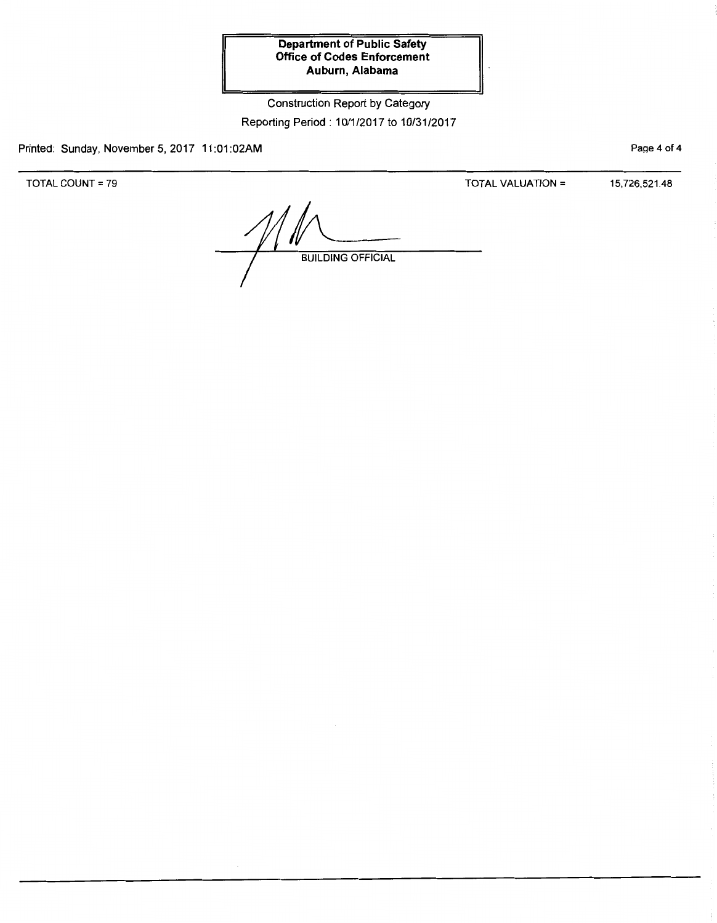Construction Report by Category Reporting Period: 10/1/2017 to 10/31/2017

Printed: Sunday, November 5, 2017 11:01:02AM

TOTAL COUNT= 79

TOTAL VALUATION = 15,726,521.48

Page 4 of 4

**BUILDING OFFICIAL**